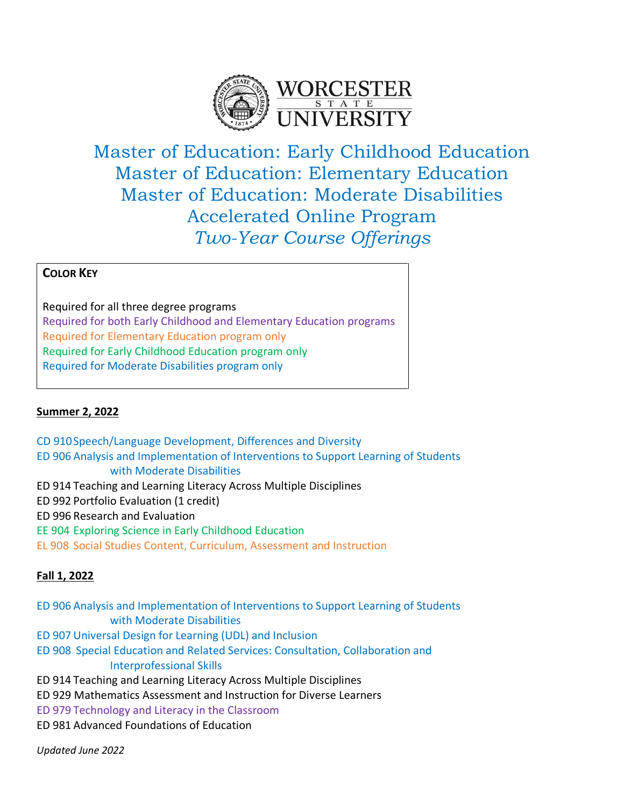

Master of Education: Early Childhood Education Master of Education: Elementary Education Master of Education: Moderate Disabilities Accelerated Online Program *Two-Year Course Offerings*

## **COLOR KEY**

Required for all three degree programs Required for both Early Childhood and Elementary Education programs Required for Elementary Education program only Required for Early Childhood Education program only Required for Moderate Disabilities program only

### **Summer 2, 2022**

CD 910Speech/Language Development, Differences and Diversity ED 906 Analysis and Implementation of Interventions to Support Learning of Students with Moderate Disabilities ED 914 Teaching and Learning Literacy Across Multiple Disciplines ED 992 Portfolio Evaluation (1 credit) ED 996 Research and Evaluation EE 904 Exploring Science in Early Childhood Education EL 908 Social Studies Content, Curriculum, Assessment and Instruction

### **Fall 1, 2022**

ED 906 Analysis and Implementation of Interventions to Support Learning of Students with Moderate Disabilities

- ED 907 Universal Design for Learning (UDL) and Inclusion
- ED 908 Special Education and Related Services: Consultation, Collaboration and Interprofessional Skills
- ED 914 Teaching and Learning Literacy Across Multiple Disciplines
- ED 929 Mathematics Assessment and Instruction for Diverse Learners

ED 979 Technology and Literacy in the Classroom

ED 981 Advanced Foundations of Education

*Updated June 2022*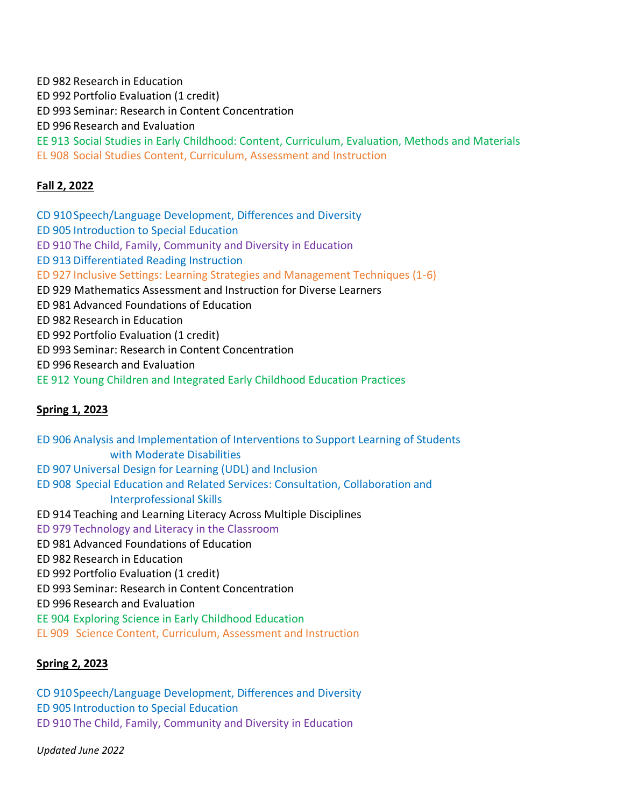ED 982 Research in Education ED 992 Portfolio Evaluation (1 credit) ED 993 Seminar: Research in Content Concentration ED 996 Research and Evaluation EE 913 Social Studies in Early Childhood: Content, Curriculum, Evaluation, Methods and Materials EL 908 Social Studies Content, Curriculum, Assessment and Instruction

# **Fall 2, 2022**

CD 910Speech/Language Development, Differences and Diversity ED 905 Introduction to Special Education ED 910 The Child, Family, Community and Diversity in Education ED 913 Differentiated Reading Instruction ED 927 Inclusive Settings: Learning Strategies and Management Techniques (1-6) ED 929 Mathematics Assessment and Instruction for Diverse Learners ED 981 Advanced Foundations of Education ED 982 Research in Education ED 992 Portfolio Evaluation (1 credit) ED 993 Seminar: Research in Content Concentration ED 996 Research and Evaluation EE 912 Young Children and Integrated Early Childhood Education Practices

# **Spring 1, 2023**

ED 906 Analysis and Implementation of Interventions to Support Learning of Students with Moderate Disabilities ED 907 Universal Design for Learning (UDL) and Inclusion ED 908 Special Education and Related Services: Consultation, Collaboration and Interprofessional Skills ED 914 Teaching and Learning Literacy Across Multiple Disciplines ED 979 Technology and Literacy in the Classroom ED 981 Advanced Foundations of Education ED 982 Research in Education ED 992 Portfolio Evaluation (1 credit) ED 993 Seminar: Research in Content Concentration ED 996 Research and Evaluation EE 904 Exploring Science in Early Childhood Education EL 909 Science Content, Curriculum, Assessment and Instruction

# **Spring 2, 2023**

CD 910Speech/Language Development, Differences and Diversity

ED 905 Introduction to Special Education

ED 910 The Child, Family, Community and Diversity in Education

*Updated June 2022*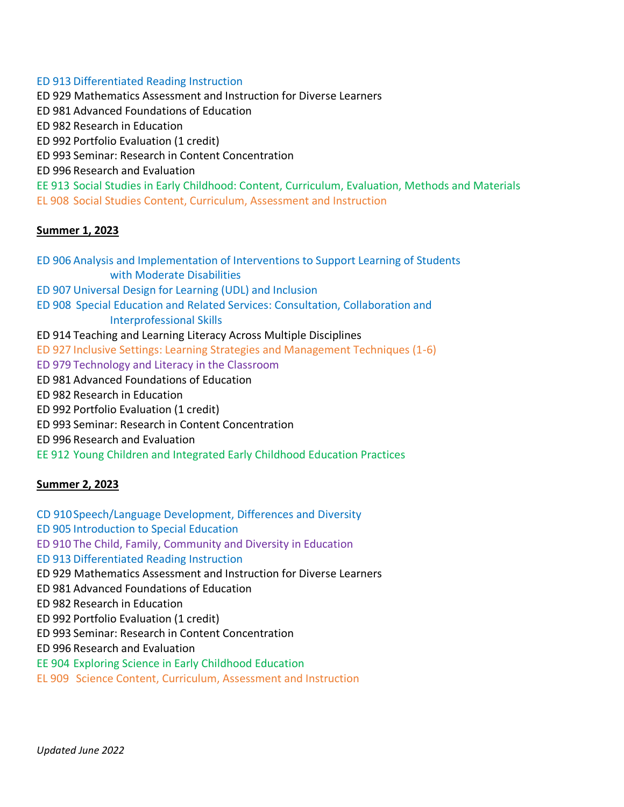ED 913 Differentiated Reading Instruction ED 929 Mathematics Assessment and Instruction for Diverse Learners ED 981 Advanced Foundations of Education ED 982 Research in Education ED 992 Portfolio Evaluation (1 credit) ED 993 Seminar: Research in Content Concentration ED 996 Research and Evaluation EE 913 Social Studies in Early Childhood: Content, Curriculum, Evaluation, Methods and Materials EL 908 Social Studies Content, Curriculum, Assessment and Instruction

#### **Summer 1, 2023**

ED 906 Analysis and Implementation of Interventions to Support Learning of Students with Moderate Disabilities ED 907 Universal Design for Learning (UDL) and Inclusion ED 908 Special Education and Related Services: Consultation, Collaboration and Interprofessional Skills ED 914 Teaching and Learning Literacy Across Multiple Disciplines ED 927 Inclusive Settings: Learning Strategies and Management Techniques (1-6) ED 979 Technology and Literacy in the Classroom ED 981 Advanced Foundations of Education ED 982 Research in Education ED 992 Portfolio Evaluation (1 credit) ED 993 Seminar: Research in Content Concentration ED 996 Research and Evaluation EE 912 Young Children and Integrated Early Childhood Education Practices

### **Summer 2, 2023**

CD 910Speech/Language Development, Differences and Diversity ED 905 Introduction to Special Education ED 910 The Child, Family, Community and Diversity in Education ED 913 Differentiated Reading Instruction ED 929 Mathematics Assessment and Instruction for Diverse Learners ED 981 Advanced Foundations of Education

ED 982 Research in Education

ED 992 Portfolio Evaluation (1 credit)

ED 993 Seminar: Research in Content Concentration

ED 996 Research and Evaluation

EE 904 Exploring Science in Early Childhood Education

EL 909 Science Content, Curriculum, Assessment and Instruction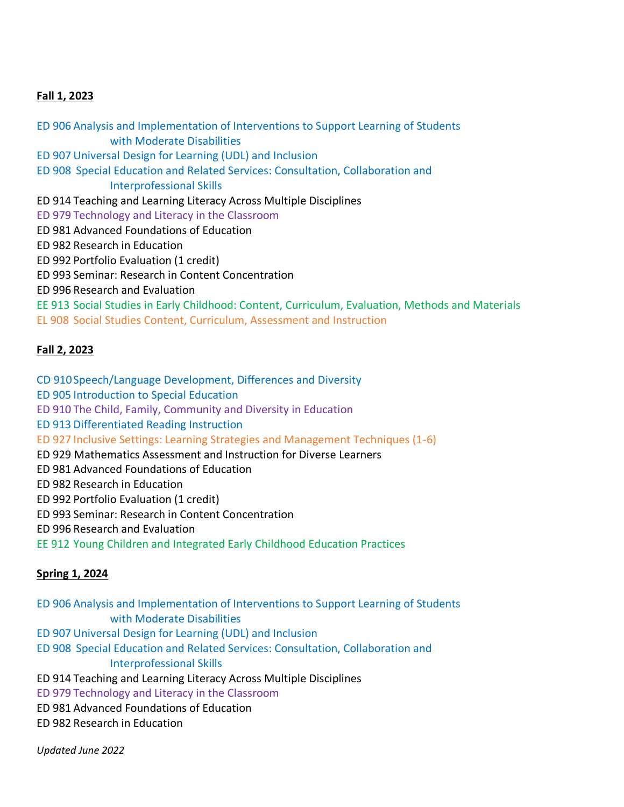#### **Fall 1, 2023**

ED 906 Analysis and Implementation of Interventions to Support Learning of Students with Moderate Disabilities ED 907 Universal Design for Learning (UDL) and Inclusion ED 908 Special Education and Related Services: Consultation, Collaboration and Interprofessional Skills ED 914 Teaching and Learning Literacy Across Multiple Disciplines ED 979 Technology and Literacy in the Classroom ED 981 Advanced Foundations of Education ED 982 Research in Education ED 992 Portfolio Evaluation (1 credit) ED 993 Seminar: Research in Content Concentration ED 996 Research and Evaluation EE 913 Social Studies in Early Childhood: Content, Curriculum, Evaluation, Methods and Materials EL 908 Social Studies Content, Curriculum, Assessment and Instruction

### **Fall 2, 2023**

- CD 910Speech/Language Development, Differences and Diversity
- ED 905 Introduction to Special Education
- ED 910 The Child, Family, Community and Diversity in Education
- ED 913 Differentiated Reading Instruction
- ED 927 Inclusive Settings: Learning Strategies and Management Techniques (1-6)
- ED 929 Mathematics Assessment and Instruction for Diverse Learners
- ED 981 Advanced Foundations of Education
- ED 982 Research in Education
- ED 992 Portfolio Evaluation (1 credit)
- ED 993 Seminar: Research in Content Concentration
- ED 996 Research and Evaluation
- EE 912 Young Children and Integrated Early Childhood Education Practices

### **Spring 1, 2024**

- ED 906 Analysis and Implementation of Interventions to Support Learning of Students with Moderate Disabilities ED 907 Universal Design for Learning (UDL) and Inclusion
- ED 908 Special Education and Related Services: Consultation, Collaboration and Interprofessional Skills
- ED 914 Teaching and Learning Literacy Across Multiple Disciplines
- ED 979 Technology and Literacy in the Classroom
- ED 981 Advanced Foundations of Education
- ED 982 Research in Education